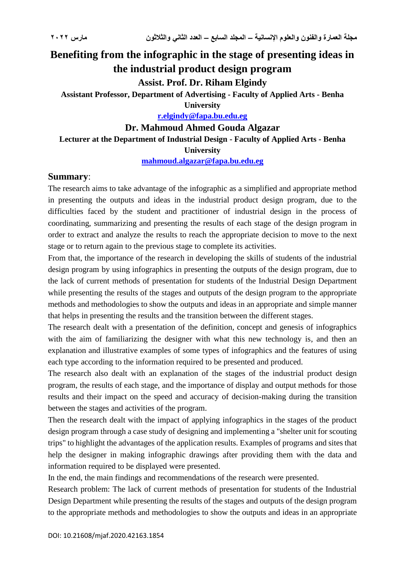# **Benefiting from the infographic in the stage of presenting ideas in the industrial product design program**

# **Assist. Prof. Dr. Riham Elgindy**

**Assistant Professor, Department of Advertising - Faculty of Applied Arts - Benha University**

**[r.elgindy@fapa.bu.edu.eg](mailto:r.elgindy@fapa.bu.edu.eg)**

# **Dr. Mahmoud Ahmed Gouda Algazar**

# **Lecturer at the Department of Industrial Design - Faculty of Applied Arts - Benha University**

**[mahmoud.algazar@fapa.bu.edu.eg](mailto:mahmoud.algazar@fapa.bu.edu.eg)**

#### **Summary**:

The research aims to take advantage of the infographic as a simplified and appropriate method in presenting the outputs and ideas in the industrial product design program, due to the difficulties faced by the student and practitioner of industrial design in the process of coordinating, summarizing and presenting the results of each stage of the design program in order to extract and analyze the results to reach the appropriate decision to move to the next stage or to return again to the previous stage to complete its activities.

From that, the importance of the research in developing the skills of students of the industrial design program by using infographics in presenting the outputs of the design program, due to the lack of current methods of presentation for students of the Industrial Design Department while presenting the results of the stages and outputs of the design program to the appropriate methods and methodologies to show the outputs and ideas in an appropriate and simple manner that helps in presenting the results and the transition between the different stages.

The research dealt with a presentation of the definition, concept and genesis of infographics with the aim of familiarizing the designer with what this new technology is, and then an explanation and illustrative examples of some types of infographics and the features of using each type according to the information required to be presented and produced.

The research also dealt with an explanation of the stages of the industrial product design program, the results of each stage, and the importance of display and output methods for those results and their impact on the speed and accuracy of decision-making during the transition between the stages and activities of the program.

Then the research dealt with the impact of applying infographics in the stages of the product design program through a case study of designing and implementing a "shelter unit for scouting trips" to highlight the advantages of the application results. Examples of programs and sites that help the designer in making infographic drawings after providing them with the data and information required to be displayed were presented.

In the end, the main findings and recommendations of the research were presented.

Research problem: The lack of current methods of presentation for students of the Industrial Design Department while presenting the results of the stages and outputs of the design program to the appropriate methods and methodologies to show the outputs and ideas in an appropriate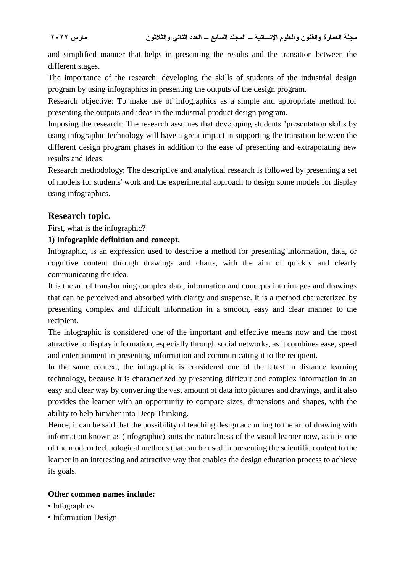and simplified manner that helps in presenting the results and the transition between the different stages.

The importance of the research: developing the skills of students of the industrial design program by using infographics in presenting the outputs of the design program.

Research objective: To make use of infographics as a simple and appropriate method for presenting the outputs and ideas in the industrial product design program.

Imposing the research: The research assumes that developing students 'presentation skills by using infographic technology will have a great impact in supporting the transition between the different design program phases in addition to the ease of presenting and extrapolating new results and ideas.

Research methodology: The descriptive and analytical research is followed by presenting a set of models for students' work and the experimental approach to design some models for display using infographics.

### **Research topic.**

First, what is the infographic?

#### **1) Infographic definition and concept.**

Infographic, is an expression used to describe a method for presenting information, data, or cognitive content through drawings and charts, with the aim of quickly and clearly communicating the idea.

It is the art of transforming complex data, information and concepts into images and drawings that can be perceived and absorbed with clarity and suspense. It is a method characterized by presenting complex and difficult information in a smooth, easy and clear manner to the recipient.

The infographic is considered one of the important and effective means now and the most attractive to display information, especially through social networks, as it combines ease, speed and entertainment in presenting information and communicating it to the recipient.

In the same context, the infographic is considered one of the latest in distance learning technology, because it is characterized by presenting difficult and complex information in an easy and clear way by converting the vast amount of data into pictures and drawings, and it also provides the learner with an opportunity to compare sizes, dimensions and shapes, with the ability to help him/her into Deep Thinking.

Hence, it can be said that the possibility of teaching design according to the art of drawing with information known as (infographic) suits the naturalness of the visual learner now, as it is one of the modern technological methods that can be used in presenting the scientific content to the learner in an interesting and attractive way that enables the design education process to achieve its goals.

#### **Other common names include:**

- Infographics
- Information Design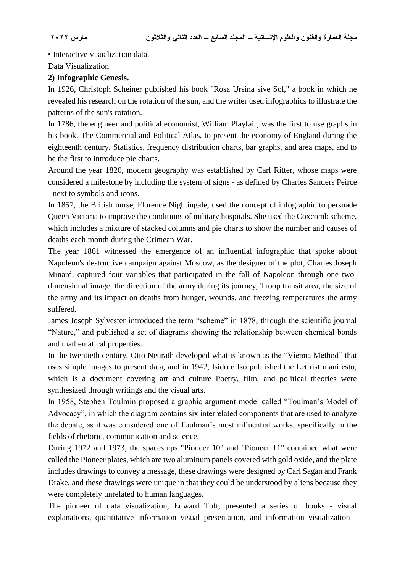• Interactive visualization data.

Data Visualization

#### **2) Infographic Genesis.**

In 1926, Christoph Scheiner published his book "Rosa Ursina sive Sol," a book in which he revealed his research on the rotation of the sun, and the writer used infographics to illustrate the patterns of the sun's rotation.

In 1786, the engineer and political economist, William Playfair, was the first to use graphs in his book. The Commercial and Political Atlas, to present the economy of England during the eighteenth century. Statistics, frequency distribution charts, bar graphs, and area maps, and to be the first to introduce pie charts.

Around the year 1820, modern geography was established by Carl Ritter, whose maps were considered a milestone by including the system of signs - as defined by Charles Sanders Peirce - next to symbols and icons.

In 1857, the British nurse, Florence Nightingale, used the concept of infographic to persuade Queen Victoria to improve the conditions of military hospitals. She used the Coxcomb scheme, which includes a mixture of stacked columns and pie charts to show the number and causes of deaths each month during the Crimean War.

The year 1861 witnessed the emergence of an influential infographic that spoke about Napoleon's destructive campaign against Moscow, as the designer of the plot, Charles Joseph Minard, captured four variables that participated in the fall of Napoleon through one twodimensional image: the direction of the army during its journey, Troop transit area, the size of the army and its impact on deaths from hunger, wounds, and freezing temperatures the army suffered.

James Joseph Sylvester introduced the term "scheme" in 1878, through the scientific journal "Nature," and published a set of diagrams showing the relationship between chemical bonds and mathematical properties.

In the twentieth century, Otto Neurath developed what is known as the "Vienna Method" that uses simple images to present data, and in 1942, Isidore Iso published the Lettrist manifesto, which is a document covering art and culture Poetry, film, and political theories were synthesized through writings and the visual arts.

In 1958, Stephen Toulmin proposed a graphic argument model called "Toulman's Model of Advocacy", in which the diagram contains six interrelated components that are used to analyze the debate, as it was considered one of Toulman's most influential works, specifically in the fields of rhetoric, communication and science.

During 1972 and 1973, the spaceships "Pioneer 10" and "Pioneer 11" contained what were called the Pioneer plates, which are two aluminum panels covered with gold oxide, and the plate includes drawings to convey a message, these drawings were designed by Carl Sagan and Frank Drake, and these drawings were unique in that they could be understood by aliens because they were completely unrelated to human languages.

The pioneer of data visualization, Edward Toft, presented a series of books - visual explanations, quantitative information visual presentation, and information visualization -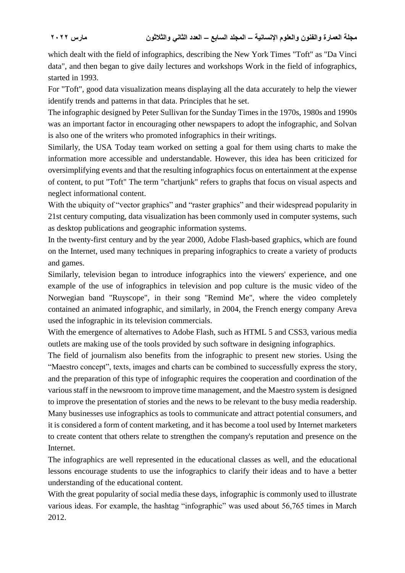which dealt with the field of infographics, describing the New York Times "Toft" as "Da Vinci data", and then began to give daily lectures and workshops Work in the field of infographics, started in 1993.

For "Toft", good data visualization means displaying all the data accurately to help the viewer identify trends and patterns in that data. Principles that he set.

The infographic designed by Peter Sullivan for the Sunday Times in the 1970s, 1980s and 1990s was an important factor in encouraging other newspapers to adopt the infographic, and Solvan is also one of the writers who promoted infographics in their writings.

Similarly, the USA Today team worked on setting a goal for them using charts to make the information more accessible and understandable. However, this idea has been criticized for oversimplifying events and that the resulting infographics focus on entertainment at the expense of content, to put "Toft" The term "chartjunk" refers to graphs that focus on visual aspects and neglect informational content.

With the ubiquity of "vector graphics" and "raster graphics" and their widespread popularity in 21st century computing, data visualization has been commonly used in computer systems, such as desktop publications and geographic information systems.

In the twenty-first century and by the year 2000, Adobe Flash-based graphics, which are found on the Internet, used many techniques in preparing infographics to create a variety of products and games.

Similarly, television began to introduce infographics into the viewers' experience, and one example of the use of infographics in television and pop culture is the music video of the Norwegian band "Ruyscope", in their song "Remind Me", where the video completely contained an animated infographic, and similarly, in 2004, the French energy company Areva used the infographic in its television commercials.

With the emergence of alternatives to Adobe Flash, such as HTML 5 and CSS3, various media outlets are making use of the tools provided by such software in designing infographics.

The field of journalism also benefits from the infographic to present new stories. Using the "Maestro concept", texts, images and charts can be combined to successfully express the story, and the preparation of this type of infographic requires the cooperation and coordination of the various staff in the newsroom to improve time management, and the Maestro system is designed to improve the presentation of stories and the news to be relevant to the busy media readership. Many businesses use infographics as tools to communicate and attract potential consumers, and it is considered a form of content marketing, and it has become a tool used by Internet marketers to create content that others relate to strengthen the company's reputation and presence on the Internet.

The infographics are well represented in the educational classes as well, and the educational lessons encourage students to use the infographics to clarify their ideas and to have a better understanding of the educational content.

With the great popularity of social media these days, infographic is commonly used to illustrate various ideas. For example, the hashtag "infographic" was used about 56,765 times in March 2012.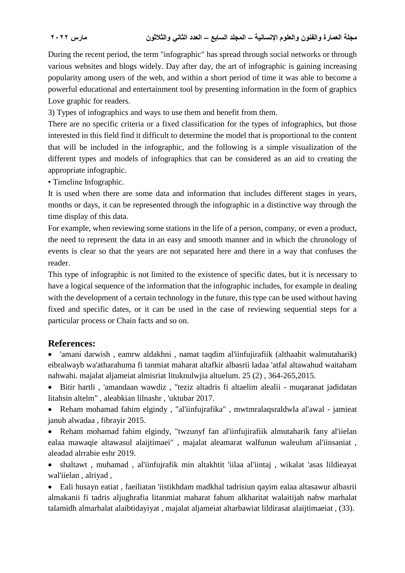During the recent period, the term "infographic" has spread through social networks or through various websites and blogs widely. Day after day, the art of infographic is gaining increasing popularity among users of the web, and within a short period of time it was able to become a powerful educational and entertainment tool by presenting information in the form of graphics Love graphic for readers.

3) Types of infographics and ways to use them and benefit from them.

There are no specific criteria or a fixed classification for the types of infographics, but those interested in this field find it difficult to determine the model that is proportional to the content that will be included in the infographic, and the following is a simple visualization of the different types and models of infographics that can be considered as an aid to creating the appropriate infographic.

• Timeline Infographic.

It is used when there are some data and information that includes different stages in years, months or days, it can be represented through the infographic in a distinctive way through the time display of this data.

For example, when reviewing some stations in the life of a person, company, or even a product, the need to represent the data in an easy and smooth manner and in which the chronology of events is clear so that the years are not separated here and there in a way that confuses the reader.

This type of infographic is not limited to the existence of specific dates, but it is necessary to have a logical sequence of the information that the infographic includes, for example in dealing with the development of a certain technology in the future, this type can be used without having fixed and specific dates, or it can be used in the case of reviewing sequential steps for a particular process or Chain facts and so on.

# **References:**

 'amani darwish , eamrw aldakhni , namat taqdim al'iinfujirafiik (althaabit walmutaharik) eibralwayb wa'atharahuma fi tanmiat maharat altafkir albasrii ladaa 'atfal altawahud waitaham nahwahi. majalat aljameiat almisriat lituknulwjia altuelum. 25 (2) , 364-265,2015.

 Bitir hartli , 'amandaan wawdiz , "teziz altadris fi altaelim alealii - muqaranat jadidatan litahsin altelm" , aleabkian lilnashr , 'uktubar 2017.

 Reham mohamad fahim elgindy , "al'iinfujrafika" , mwtmralaqsraldwla al'awal - jamieat janub alwadaa , fibrayir 2015.

 Reham mohamad fahim elgindy, "twzunyf fan al'iinfujirafiik almutaharik fany al'iielan ealaa mawaqie altawasul alaijtimaei" , majalat aleamarat walfunun waleulum al'iinsaniat , aleadad alrrabie eshr 2019.

 shaltawt , muhamad , al'iinfujrafik min altakhtit 'iilaa al'iintaj , wikalat 'asas lildieayat wal'iielan , alriyad ,

 Eali husayn eatiat , faeiliatan 'iistikhdam madkhal tadrisiun qayim ealaa altasawur albasrii almakanii fi tadris aljughrafia litanmiat maharat fahum alkharitat walaitijah nahw marhalat talamidh almarhalat alaibtidayiyat , majalat aljameiat altarbawiat lildirasat alaijtimaeiat , (33).